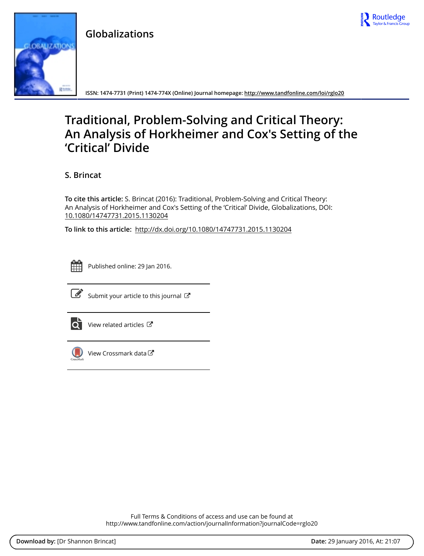

**Globalizations**



**ISSN: 1474-7731 (Print) 1474-774X (Online) Journal homepage: <http://www.tandfonline.com/loi/rglo20>**

# **Traditional, Problem-Solving and Critical Theory: An Analysis of Horkheimer and Cox's Setting of the 'Critical' Divide**

**S. Brincat**

**To cite this article:** S. Brincat (2016): Traditional, Problem-Solving and Critical Theory: An Analysis of Horkheimer and Cox's Setting of the 'Critical' Divide, Globalizations, DOI: [10.1080/14747731.2015.1130204](http://www.tandfonline.com/action/showCitFormats?doi=10.1080/14747731.2015.1130204)

**To link to this article:** <http://dx.doi.org/10.1080/14747731.2015.1130204>



Published online: 29 Jan 2016.



 $\overline{\mathscr{L}}$  [Submit your article to this journal](http://www.tandfonline.com/action/authorSubmission?journalCode=rglo20&page=instructions)  $\mathbb{Z}$ 



 $\overrightarrow{O}$  [View related articles](http://www.tandfonline.com/doi/mlt/10.1080/14747731.2015.1130204)  $\overrightarrow{C}$ 



[View Crossmark data](http://crossmark.crossref.org/dialog/?doi=10.1080/14747731.2015.1130204&domain=pdf&date_stamp=2016-01-29) $\mathbb{Z}$ 

Full Terms & Conditions of access and use can be found at <http://www.tandfonline.com/action/journalInformation?journalCode=rglo20>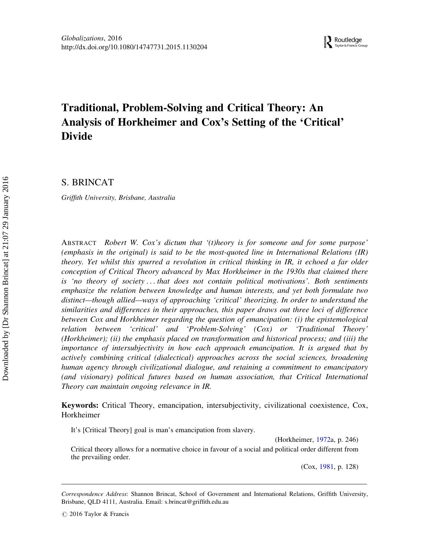# <span id="page-1-0"></span>Traditional, Problem-Solving and Critical Theory: An Analysis of Horkheimer and Cox's Setting of the 'Critical' Divide

S. BRINCAT

Griffith University, Brisbane, Australia

ABSTRACT Robert W. Cox's dictum that '(t)heory is for someone and for some purpose' (emphasis in the original) is said to be the most-quoted line in International Relations (IR) theory. Yet whilst this spurred a revolution in critical thinking in IR, it echoed a far older conception of Critical Theory advanced by Max Horkheimer in the 1930s that claimed there is 'no theory of society ... that does not contain political motivations'. Both sentiments emphasize the relation between knowledge and human interests, and yet both formulate two distinct—though allied—ways of approaching 'critical' theorizing. In order to understand the similarities and differences in their approaches, this paper draws out three loci of difference between Cox and Horkheimer regarding the question of emancipation: (i) the epistemological relation between 'critical' and 'Problem-Solving' (Cox) or 'Traditional Theory' (Horkheimer); (ii) the emphasis placed on transformation and historical process; and (iii) the importance of intersubjectivity in how each approach emancipation. It is argued that by actively combining critical (dialectical) approaches across the social sciences, broadening human agency through civilizational dialogue, and retaining a commitment to emancipatory (and visionary) political futures based on human association, that Critical International Theory can maintain ongoing relevance in IR.

Keywords: Critical Theory, emancipation, intersubjectivity, civilizational coexistence, Cox, Horkheimer

It's [Critical Theory] goal is man's emancipation from slavery.

(Horkheimer, [1972a](#page-15-0), p. 246)

Critical theory allows for a normative choice in favour of a social and political order different from the prevailing order.

(Cox, [1981,](#page-14-0) p. 128)

C 2016 Taylor & Francis

Correspondence Address: Shannon Brincat, School of Government and International Relations, Griffith University, Brisbane, QLD 4111, Australia. Email: [s.brincat@griffith.edu.au](mailto:s.brincat@griffith.edu.au)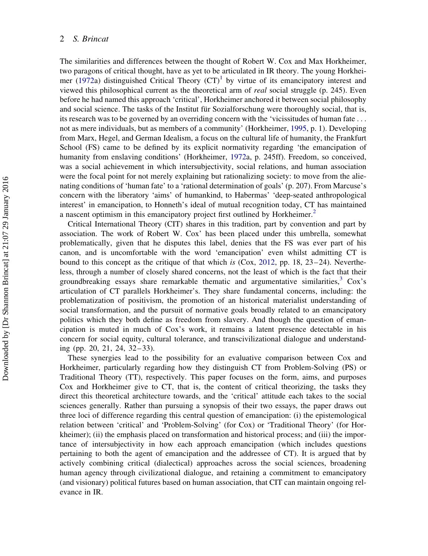# <span id="page-2-0"></span>2 S. Brincat

The similarities and differences between the thought of Robert W. Cox and Max Horkheimer, two paragons of critical thought, have as yet to be articulated in IR theory. The young Horkhei-mer [\(1972](#page-15-0)a) distinguished Critical Theory  $(CT)^1$  $(CT)^1$  by virtue of its emancipatory interest and viewed this philosophical current as the theoretical arm of real social struggle (p. 245). Even before he had named this approach 'critical', Horkheimer anchored it between social philosophy and social science. The tasks of the Institut für Sozialforschung were thoroughly social, that is, its research was to be governed by an overriding concern with the 'vicissitudes of human fate . . . not as mere individuals, but as members of a community' (Horkheimer, [1995,](#page-15-0) p. 1). Developing from Marx, Hegel, and German Idealism, a focus on the cultural life of humanity, the Frankfurt School (FS) came to be defined by its explicit normativity regarding 'the emancipation of humanity from enslaving conditions' (Horkheimer, [1972](#page-15-0)a, p. 245ff). Freedom, so conceived, was a social achievement in which intersubjectivity, social relations, and human association were the focal point for not merely explaining but rationalizing society: to move from the alienating conditions of 'human fate' to a 'rational determination of goals' (p. 207). From Marcuse's concern with the liberatory 'aims' of humankind, to Habermas' 'deep-seated anthropological interest' in emancipation, to Honneth's ideal of mutual recognition today, CT has maintained a nascent optimism in this emancipatory project first outlined by Horkheimer.<sup>[2](#page-14-0)</sup>

Critical International Theory (CIT) shares in this tradition, part by convention and part by association. The work of Robert W. Cox' has been placed under this umbrella, somewhat problematically, given that he disputes this label, denies that the FS was ever part of his canon, and is uncomfortable with the word 'emancipation' even whilst admitting CT is bound to this concept as the critique of that which is  $(Cox, 2012, pp. 18, 23-24)$  $(Cox, 2012, pp. 18, 23-24)$  $(Cox, 2012, pp. 18, 23-24)$ . Nevertheless, through a number of closely shared concerns, not the least of which is the fact that their groundbreaking essays share remarkable thematic and argumentative similarities,  $3 \text{ Cox's}$  $3 \text{ Cox's}$ articulation of CT parallels Horkheimer's. They share fundamental concerns, including: the problematization of positivism, the promotion of an historical materialist understanding of social transformation, and the pursuit of normative goals broadly related to an emancipatory politics which they both define as freedom from slavery. And though the question of emancipation is muted in much of Cox's work, it remains a latent presence detectable in his concern for social equity, cultural tolerance, and transcivilizational dialogue and understanding (pp. 20, 21, 24, 32–33).

These synergies lead to the possibility for an evaluative comparison between Cox and Horkheimer, particularly regarding how they distinguish CT from Problem-Solving (PS) or Traditional Theory (TT), respectively. This paper focuses on the form, aims, and purposes Cox and Horkheimer give to CT, that is, the content of critical theorizing, the tasks they direct this theoretical architecture towards, and the 'critical' attitude each takes to the social sciences generally. Rather than pursuing a synopsis of their two essays, the paper draws out three loci of difference regarding this central question of emancipation: (i) the epistemological relation between 'critical' and 'Problem-Solving' (for Cox) or 'Traditional Theory' (for Horkheimer); (ii) the emphasis placed on transformation and historical process; and (iii) the importance of intersubjectivity in how each approach emancipation (which includes questions pertaining to both the agent of emancipation and the addressee of CT). It is argued that by actively combining critical (dialectical) approaches across the social sciences, broadening human agency through civilizational dialogue, and retaining a commitment to emancipatory (and visionary) political futures based on human association, that CIT can maintain ongoing relevance in IR.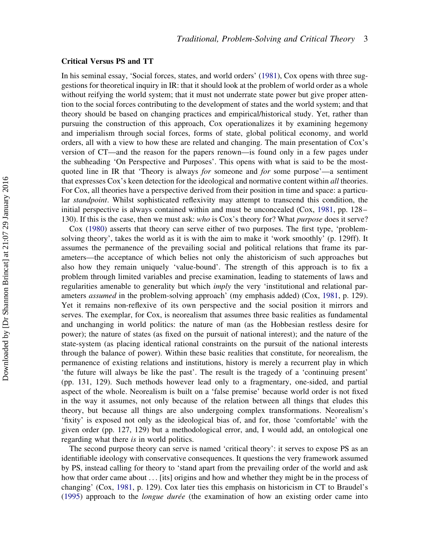#### <span id="page-3-0"></span>Critical Versus PS and TT

In his seminal essay, 'Social forces, states, and world orders' [\(1981](#page-14-0)), Cox opens with three suggestions for theoretical inquiry in IR: that it should look at the problem of world order as a whole without reifying the world system; that it must not underrate state power but give proper attention to the social forces contributing to the development of states and the world system; and that theory should be based on changing practices and empirical/historical study. Yet, rather than pursuing the construction of this approach, Cox operationalizes it by examining hegemony and imperialism through social forces, forms of state, global political economy, and world orders, all with a view to how these are related and changing. The main presentation of Cox's version of CT—and the reason for the papers renown—is found only in a few pages under the subheading 'On Perspective and Purposes'. This opens with what is said to be the mostquoted line in IR that 'Theory is always for someone and for some purpose'—a sentiment that expresses Cox's keen detection for the ideological and normative content within all theories. For Cox, all theories have a perspective derived from their position in time and space: a particular standpoint. Whilst sophisticated reflexivity may attempt to transcend this condition, the initial perspective is always contained within and must be unconcealed (Cox, [1981](#page-14-0), pp. 128– 130). If this is the case, then we must ask: who is Cox's theory for? What purpose does it serve?

Cox ([1980\)](#page-14-0) asserts that theory can serve either of two purposes. The first type, 'problemsolving theory', takes the world as it is with the aim to make it 'work smoothly' (p. 129ff). It assumes the permanence of the prevailing social and political relations that frame its parameters—the acceptance of which belies not only the ahistoricism of such approaches but also how they remain uniquely 'value-bound'. The strength of this approach is to fix a problem through limited variables and precise examination, leading to statements of laws and regularities amenable to generality but which imply the very 'institutional and relational parameters assumed in the problem-solving approach' (my emphasis added) (Cox, [1981,](#page-14-0) p. 129). Yet it remains non-reflexive of its own perspective and the social position it mirrors and serves. The exemplar, for Cox, is neorealism that assumes three basic realities as fundamental and unchanging in world politics: the nature of man (as the Hobbesian restless desire for power); the nature of states (as fixed on the pursuit of national interest); and the nature of the state-system (as placing identical rational constraints on the pursuit of the national interests through the balance of power). Within these basic realities that constitute, for neorealism, the permanence of existing relations and institutions, history is merely a recurrent play in which 'the future will always be like the past'. The result is the tragedy of a 'continuing present' (pp. 131, 129). Such methods however lead only to a fragmentary, one-sided, and partial aspect of the whole. Neorealism is built on a 'false premise' because world order is not fixed in the way it assumes, not only because of the relation between all things that eludes this theory, but because all things are also undergoing complex transformations. Neorealism's 'fixity' is exposed not only as the ideological bias of, and for, those 'comfortable' with the given order (pp. 127, 129) but a methodological error, and, I would add, an ontological one regarding what there is in world politics.

The second purpose theory can serve is named 'critical theory': it serves to expose PS as an identifiable ideology with conservative consequences. It questions the very framework assumed by PS, instead calling for theory to 'stand apart from the prevailing order of the world and ask how that order came about ... [its] origins and how and whether they might be in the process of changing' (Cox, [1981,](#page-14-0) p. 129). Cox later ties this emphasis on historicism in CT to Braudel's [\(1995](#page-14-0)) approach to the *longue durée* (the examination of how an existing order came into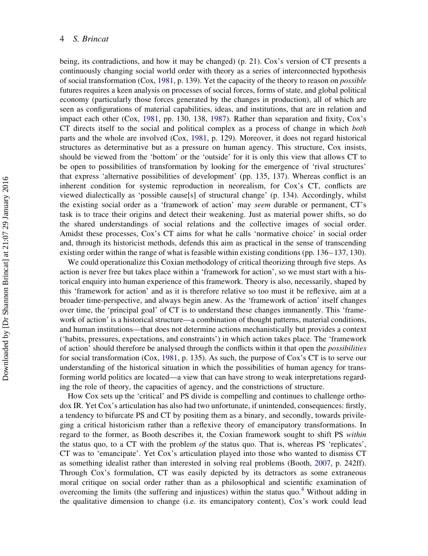<span id="page-4-0"></span>being, its contradictions, and how it may be changed) (p. 21). Cox's version of CT presents a continuously changing social world order with theory as a series of interconnected hypothesis of social transformation (Cox, [1981](#page-14-0), p. 139). Yet the capacity of the theory to reason on possible futures requires a keen analysis on processes of social forces, forms of state, and global political economy (particularly those forces generated by the changes in production), all of which are seen as configurations of material capabilities, ideas, and institutions, that are in relation and impact each other (Cox, [1981,](#page-14-0) pp. 130, 138, [1987](#page-14-0)). Rather than separation and fixity, Cox's CT directs itself to the social and political complex as a process of change in which both parts and the whole are involved (Cox, [1981](#page-14-0), p. 129). Moreover, it does not regard historical structures as determinative but as a pressure on human agency. This structure, Cox insists, should be viewed from the 'bottom' or the 'outside' for it is only this view that allows CT to be open to possibilities of transformation by looking for the emergence of 'rival structures' that express 'alternative possibilities of development' (pp. 135, 137). Whereas conflict is an inherent condition for systemic reproduction in neorealism, for Cox's CT, conflicts are viewed dialectically as 'possible cause[s] of structural change' (p. 134). Accordingly, whilst the existing social order as a 'framework of action' may seem durable or permanent, CT's task is to trace their origins and detect their weakening. Just as material power shifts, so do the shared understandings of social relations and the collective images of social order. Amidst these processes, Cox's CT aims for what he calls 'normative choice' in social order and, through its historicist methods, defends this aim as practical in the sense of transcending existing order within the range of what is feasible within existing conditions (pp. 136–137, 130).

We could operationalize this Coxian methodology of critical theorizing through five steps. As action is never free but takes place within a 'framework for action', so we must start with a historical enquiry into human experience of this framework. Theory is also, necessarily, shaped by this 'framework for action' and as it is therefore relative so too must it be reflexive, aim at a broader time-perspective, and always begin anew. As the 'framework of action' itself changes over time, the 'principal goal' of CT is to understand these changes immanently. This 'framework of action' is a historical structure—a combination of thought patterns, material conditions, and human institutions—that does not determine actions mechanistically but provides a context ('habits, pressures, expectations, and constraints') in which action takes place. The 'framework of action' should therefore be analysed through the conflicts within it that open the possibilities for social transformation (Cox, [1981,](#page-14-0) p. 135). As such, the purpose of Cox's CT is to serve our understanding of the historical situation in which the possibilities of human agency for transforming world politics are located—a view that can have strong to weak interpretations regarding the role of theory, the capacities of agency, and the constrictions of structure.

How Cox sets up the 'critical' and PS divide is compelling and continues to challenge orthodox IR. Yet Cox's articulation has also had two unfortunate, if unintended, consequences: firstly, a tendency to bifurcate PS and CT by positing them as a binary, and secondly, towards privileging a critical historicism rather than a reflexive theory of emancipatory transformations. In regard to the former, as Booth describes it, the Coxian framework sought to shift PS within the status quo, to a CT with the problem of the status quo. That is, whereas PS 'replicates', CT was to 'emancipate'. Yet Cox's articulation played into those who wanted to dismiss CT as something idealist rather than interested in solving real problems (Booth, [2007](#page-14-0), p. 242ff). Through Cox's formulation, CT was easily depicted by its detractors as some extraneous moral critique on social order rather than as a philosophical and scientific examination of overcoming the limits (the suffering and injustices) within the status quo.<sup>[4](#page-14-0)</sup> Without adding in the qualitative dimension to change (i.e. its emancipatory content), Cox's work could lead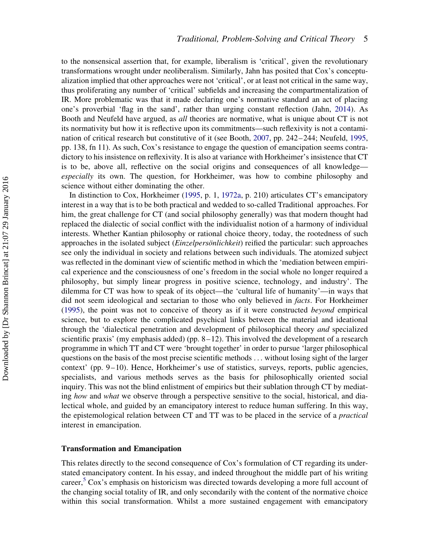<span id="page-5-0"></span>to the nonsensical assertion that, for example, liberalism is 'critical', given the revolutionary transformations wrought under neoliberalism. Similarly, Jahn has posited that Cox's conceptualization implied that other approaches were not 'critical', or at least not critical in the same way, thus proliferating any number of 'critical' subfields and increasing the compartmentalization of IR. More problematic was that it made declaring one's normative standard an act of placing one's proverbial 'flag in the sand', rather than urging constant reflection (Jahn, [2014](#page-15-0)). As Booth and Neufeld have argued, as all theories are normative, what is unique about CT is not its normativity but how it is reflective upon its commitments—such reflexivity is not a contamination of critical research but constitutive of it (see Booth, [2007](#page-14-0), pp. 242–244; Neufeld, [1995](#page-15-0), pp. 138, fn 11). As such, Cox's resistance to engage the question of emancipation seems contradictory to his insistence on reflexivity. It is also at variance with Horkheimer's insistence that CT is to be, above all, reflective on the social origins and consequences of all knowledge especially its own. The question, for Horkheimer, was how to combine philosophy and science without either dominating the other.

In distinction to Cox, Horkheimer [\(1995](#page-14-0), p. 1, [1972a,](#page-15-0) p. 210) articulates CT's emancipatory interest in a way that is to be both practical and wedded to so-called Traditional approaches. For him, the great challenge for CT (and social philosophy generally) was that modern thought had replaced the dialectic of social conflict with the individualist notion of a harmony of individual interests. Whether Kantian philosophy or rational choice theory, today, the rootedness of such approaches in the isolated subject (*Einzelpersönlichkeit*) reified the particular: such approaches see only the individual in society and relations between such individuals. The atomized subject was reflected in the dominant view of scientific method in which the 'mediation between empirical experience and the consciousness of one's freedom in the social whole no longer required a philosophy, but simply linear progress in positive science, technology, and industry'. The dilemma for CT was how to speak of its object—the 'cultural life of humanity'—in ways that did not seem ideological and sectarian to those who only believed in facts. For Horkheimer [\(1995](#page-14-0)), the point was not to conceive of theory as if it were constructed beyond empirical science, but to explore the complicated psychical links between the material and ideational through the 'dialectical penetration and development of philosophical theory and specialized scientific praxis' (my emphasis added) (pp.  $8-12$ ). This involved the development of a research programme in which TT and CT were 'brought together' in order to pursue 'larger philosophical questions on the basis of the most precise scientific methods ... without losing sight of the larger context' (pp. 9–10). Hence, Horkheimer's use of statistics, surveys, reports, public agencies, specialists, and various methods serves as the basis for philosophically oriented social inquiry. This was not the blind enlistment of empirics but their sublation through CT by mediating how and what we observe through a perspective sensitive to the social, historical, and dialectical whole, and guided by an emancipatory interest to reduce human suffering. In this way, the epistemological relation between CT and TT was to be placed in the service of a practical interest in emancipation.

### Transformation and Emancipation

This relates directly to the second consequence of Cox's formulation of CT regarding its understated emancipatory content. In his essay, and indeed throughout the middle part of his writing career, $5 \text{ Cox's emphasis on historicism was directed towards developing a more full account of}$  $5 \text{ Cox's emphasis on historicism was directed towards developing a more full account of}$ the changing social totality of IR, and only secondarily with the content of the normative choice within this social transformation. Whilst a more sustained engagement with emancipatory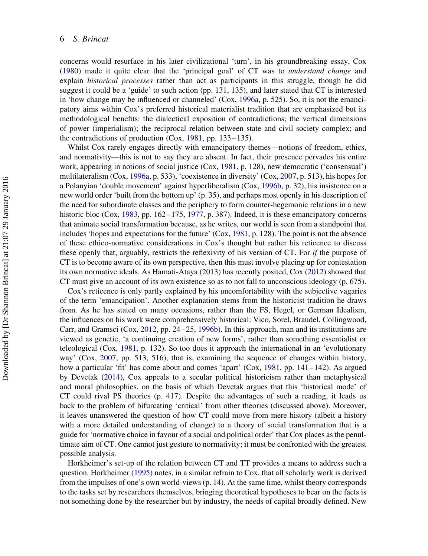<span id="page-6-0"></span>concerns would resurface in his later civilizational 'turn', in his groundbreaking essay, Cox [\(1980](#page-14-0)) made it quite clear that the 'principal goal' of CT was to understand change and explain historical processes rather than act as participants in this struggle, though he did suggest it could be a 'guide' to such action (pp. 131, 135), and later stated that CT is interested in 'how change may be influenced or channeled' (Cox, [1996a,](#page-14-0) p. 525). So, it is not the emancipatory aims within Cox's preferred historical materialist tradition that are emphasized but its methodological benefits: the dialectical exposition of contradictions; the vertical dimensions of power (imperialism); the reciprocal relation between state and civil society complex; and the contradictions of production (Cox, [1981](#page-14-0), pp. 133–135).

Whilst Cox rarely engages directly with emancipatory themes—notions of freedom, ethics, and normativity—this is not to say they are absent. In fact, their presence pervades his entire work, appearing in notions of social justice (Cox, [1981](#page-14-0), p. 128), new democratic ('consensual') multilateralism (Cox, [1996a,](#page-14-0) p. 533), 'coexistence in diversity' (Cox, [2007](#page-14-0), p. 513), his hopes for a Polanyian 'double movement' against hyperliberalism (Cox, [1996b](#page-14-0), p. 32), his insistence on a new world order 'built from the bottom up' (p. 35), and perhaps most openly in his description of the need for subordinate classes and the periphery to form counter-hegemonic relations in a new historic bloc (Cox, [1983](#page-14-0), pp. 162–175, [1977,](#page-14-0) p. 387). Indeed, it is these emancipatory concerns that animate social transformation because, as he writes, our world is seen from a standpoint that includes 'hopes and expectations for the future' (Cox, [1981,](#page-14-0) p. 128). The point is not the absence of these ethico-normative considerations in Cox's thought but rather his reticence to discuss these openly that, arguably, restricts the reflexivity of his version of CT. For if the purpose of CT is to become aware of its own perspective, then this must involve placing up for contestation its own normative ideals. As Hamati-Ataya [\(2013](#page-14-0)) has recently posited, Cox [\(2012](#page-14-0)) showed that CT must give an account of its own existence so as to not fall to unconscious ideology (p. 675).

Cox's reticence is only partly explained by his uncomfortability with the subjective vagaries of the term 'emancipation'. Another explanation stems from the historicist tradition he draws from. As he has stated on many occasions, rather than the FS, Hegel, or German Idealism, the influences on his work were comprehensively historical: Vico, Sorel, Braudel, Collingwood, Carr, and Gramsci (Cox, [2012](#page-14-0), pp. 24–25, [1996b\)](#page-14-0). In this approach, man and its institutions are viewed as genetic, 'a continuing creation of new forms', rather than something essentialist or teleological (Cox, [1981,](#page-14-0) p. 132). So too does it approach the international in an 'evolutionary way' (Cox, [2007](#page-14-0), pp. 513, 516), that is, examining the sequence of changes within history, how a particular 'fit' has come about and comes 'apart' (Cox, [1981](#page-14-0), pp. 141–142). As argued by Devetak [\(2014](#page-14-0)), Cox appeals to a secular political historicism rather than metaphysical and moral philosophies, on the basis of which Devetak argues that this 'historical mode' of CT could rival PS theories (p. 417). Despite the advantages of such a reading, it leads us back to the problem of bifurcating 'critical' from other theories (discussed above). Moreover, it leaves unanswered the question of how CT could move from mere history (albeit a history with a more detailed understanding of change) to a theory of social transformation that is a guide for 'normative choice in favour of a social and political order' that Cox places as the penultimate aim of CT. One cannot just gesture to normativity; it must be confronted with the greatest possible analysis.

Horkheimer's set-up of the relation between CT and TT provides a means to address such a question. Horkheimer ([1995\)](#page-15-0) notes, in a similar refrain to Cox, that all scholarly work is derived from the impulses of one's own world-views (p. 14). At the same time, whilst theory corresponds to the tasks set by researchers themselves, bringing theoretical hypotheses to bear on the facts is not something done by the researcher but by industry, the needs of capital broadly defined. New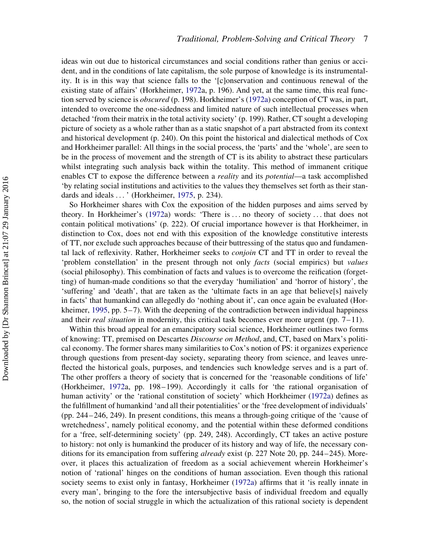<span id="page-7-0"></span>ideas win out due to historical circumstances and social conditions rather than genius or accident, and in the conditions of late capitalism, the sole purpose of knowledge is its instrumentality. It is in this way that science falls to the '[c]onservation and continuous renewal of the existing state of affairs' (Horkheimer, [1972](#page-15-0)a, p. 196). And yet, at the same time, this real function served by science is obscured (p. 198). Horkheimer's [\(1972a\)](#page-15-0) conception of CT was, in part, intended to overcome the one-sidedness and limited nature of such intellectual processes when detached 'from their matrix in the total activity society' (p. 199). Rather, CT sought a developing picture of society as a whole rather than as a static snapshot of a part abstracted from its context and historical development (p. 240). On this point the historical and dialectical methods of Cox and Horkheimer parallel: All things in the social process, the 'parts' and the 'whole', are seen to be in the process of movement and the strength of CT is its ability to abstract these particulars whilst integrating such analysis back within the totality. This method of immanent critique enables CT to expose the difference between a *reality* and its *potential*—a task accomplished 'by relating social institutions and activities to the values they themselves set forth as their standards and ideals ... ' (Horkheimer, [1975](#page-15-0), p. 234).

So Horkheimer shares with Cox the exposition of the hidden purposes and aims served by theory. In Horkheimer's ([1972a](#page-15-0)) words: 'There is ... no theory of society ... that does not contain political motivations' (p. 222). Of crucial importance however is that Horkheimer, in distinction to Cox, does not end with this exposition of the knowledge constitutive interests of TT, nor exclude such approaches because of their buttressing of the status quo and fundamental lack of reflexivity. Rather, Horkheimer seeks to *conjoin* CT and TT in order to reveal the 'problem constellation' in the present through not only facts (social empirics) but values (social philosophy). This combination of facts and values is to overcome the reification (forgetting) of human-made conditions so that the everyday 'humiliation' and 'horror of history', the 'suffering' and 'death', that are taken as the 'ultimate facts in an age that believe[s] naively in facts' that humankind can allegedly do 'nothing about it', can once again be evaluated (Horkheimer, [1995,](#page-15-0) pp. 5–7). With the deepening of the contradiction between individual happiness and their *real situation* in modernity, this critical task becomes ever more urgent (pp.  $7-11$ ).

Within this broad appeal for an emancipatory social science, Horkheimer outlines two forms of knowing: TT, premised on Descartes Discourse on Method, and, CT, based on Marx's political economy. The former shares many similarities to Cox's notion of PS: it organizes experience through questions from present-day society, separating theory from science, and leaves unreflected the historical goals, purposes, and tendencies such knowledge serves and is a part of. The other proffers a theory of society that is concerned for the 'reasonable conditions of life' (Horkheimer, [1972](#page-15-0)a, pp. 198–199). Accordingly it calls for 'the rational organisation of human activity' or the 'rational constitution of society' which Horkheimer ([1972a](#page-15-0)) defines as the fulfillment of humankind 'and all their potentialities' or the 'free development of individuals' (pp. 244–246, 249). In present conditions, this means a through-going critique of the 'cause of wretchedness', namely political economy, and the potential within these deformed conditions for a 'free, self-determining society' (pp. 249, 248). Accordingly, CT takes an active posture to history: not only is humankind the producer of its history and way of life, the necessary conditions for its emancipation from suffering *already* exist (p. 227 Note 20, pp. 244–245). Moreover, it places this actualization of freedom as a social achievement wherein Horkheimer's notion of 'rational' hinges on the conditions of human association. Even though this rational society seems to exist only in fantasy, Horkheimer ([1972a](#page-15-0)) affirms that it 'is really innate in every man', bringing to the fore the intersubjective basis of individual freedom and equally so, the notion of social struggle in which the actualization of this rational society is dependent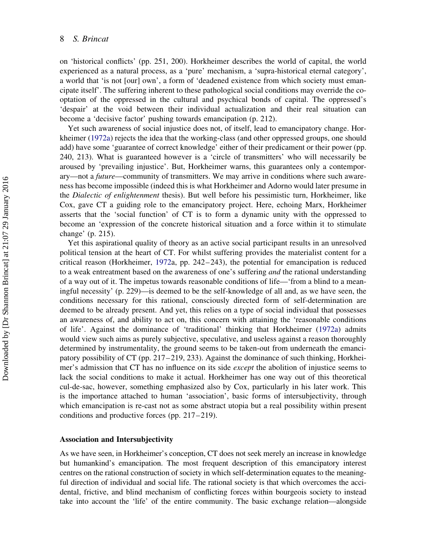on 'historical conflicts' (pp. 251, 200). Horkheimer describes the world of capital, the world experienced as a natural process, as a 'pure' mechanism, a 'supra-historical eternal category', a world that 'is not [our] own', a form of 'deadened existence from which society must emancipate itself'. The suffering inherent to these pathological social conditions may override the cooptation of the oppressed in the cultural and psychical bonds of capital. The oppressed's 'despair' at the void between their individual actualization and their real situation can become a 'decisive factor' pushing towards emancipation (p. 212).

Yet such awareness of social injustice does not, of itself, lead to emancipatory change. Horkheimer ([1972a](#page-15-0)) rejects the idea that the working-class (and other oppressed groups, one should add) have some 'guarantee of correct knowledge' either of their predicament or their power (pp. 240, 213). What is guaranteed however is a 'circle of transmitters' who will necessarily be aroused by 'prevailing injustice'. But, Horkheimer warns, this guarantees only a contemporary—not a future—community of transmitters. We may arrive in conditions where such awareness has become impossible (indeed this is what Horkheimer and Adorno would later presume in the Dialectic of enlightenment thesis). But well before his pessimistic turn, Horkheimer, like Cox, gave CT a guiding role to the emancipatory project. Here, echoing Marx, Horkheimer asserts that the 'social function' of CT is to form a dynamic unity with the oppressed to become an 'expression of the concrete historical situation and a force within it to stimulate change' (p. 215).

Yet this aspirational quality of theory as an active social participant results in an unresolved political tension at the heart of CT. For whilst suffering provides the materialist content for a critical reason (Horkheimer, [1972a](#page-15-0), pp. 242–243), the potential for emancipation is reduced to a weak entreatment based on the awareness of one's suffering *and* the rational understanding of a way out of it. The impetus towards reasonable conditions of life—'from a blind to a meaningful necessity' (p. 229)—is deemed to be the self-knowledge of all and, as we have seen, the conditions necessary for this rational, consciously directed form of self-determination are deemed to be already present. And yet, this relies on a type of social individual that possesses an awareness of, and ability to act on, this concern with attaining the 'reasonable conditions of life'. Against the dominance of 'traditional' thinking that Horkheimer [\(1972a](#page-15-0)) admits would view such aims as purely subjective, speculative, and useless against a reason thoroughly determined by instrumentality, the ground seems to be taken-out from underneath the emancipatory possibility of CT (pp. 217–219, 233). Against the dominance of such thinking, Horkheimer's admission that CT has no influence on its side *except* the abolition of injustice seems to lack the social conditions to make it actual. Horkheimer has one way out of this theoretical cul-de-sac, however, something emphasized also by Cox, particularly in his later work. This is the importance attached to human 'association', basic forms of intersubjectivity, through which emancipation is re-cast not as some abstract utopia but a real possibility within present conditions and productive forces (pp. 217–219).

#### Association and Intersubjectivity

As we have seen, in Horkheimer's conception, CT does not seek merely an increase in knowledge but humankind's emancipation. The most frequent description of this emancipatory interest centres on the rational construction of society in which self-determination equates to the meaningful direction of individual and social life. The rational society is that which overcomes the accidental, frictive, and blind mechanism of conflicting forces within bourgeois society to instead take into account the 'life' of the entire community. The basic exchange relation—alongside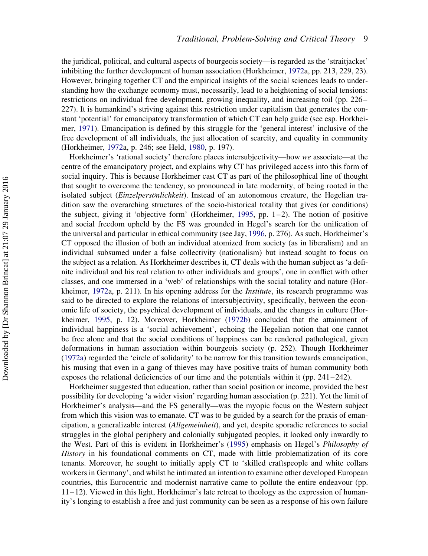<span id="page-9-0"></span>the juridical, political, and cultural aspects of bourgeois society—is regarded as the 'straitjacket' inhibiting the further development of human association (Horkheimer, [1972](#page-15-0)a, pp. 213, 229, 23). However, bringing together CT and the empirical insights of the social sciences leads to understanding how the exchange economy must, necessarily, lead to a heightening of social tensions: restrictions on individual free development, growing inequality, and increasing toil (pp. 226– 227). It is humankind's striving against this restriction under capitalism that generates the constant 'potential' for emancipatory transformation of which CT can help guide (see esp. Horkheimer, [1971](#page-15-0)). Emancipation is defined by this struggle for the 'general interest' inclusive of the free development of all individuals, the just allocation of scarcity, and equality in community (Horkheimer, [1972](#page-15-0)a, p. 246; see Held, [1980](#page-15-0), p. 197).

Horkheimer's 'rational society' therefore places intersubjectivity—how we associate—at the centre of the emancipatory project, and explains why CT has privileged access into this form of social inquiry. This is because Horkheimer cast CT as part of the philosophical line of thought that sought to overcome the tendency, so pronounced in late modernity, of being rooted in the isolated subject (*Einzelpersönlichkeit*). Instead of an autonomous creature, the Hegelian tradition saw the overarching structures of the socio-historical totality that gives (or conditions) the subject, giving it 'objective form' (Horkheimer, [1995](#page-15-0), pp. 1–2). The notion of positive and social freedom upheld by the FS was grounded in Hegel's search for the unification of the universal and particular in ethical community (see Jay, [1996](#page-15-0), p. 276). As such, Horkheimer's CT opposed the illusion of both an individual atomized from society (as in liberalism) and an individual subsumed under a false collectivity (nationalism) but instead sought to focus on the subject as a relation. As Horkheimer describes it, CT deals with the human subject as 'a definite individual and his real relation to other individuals and groups', one in conflict with other classes, and one immersed in a 'web' of relationships with the social totality and nature (Horkheimer, [1972a](#page-15-0), p. 211). In his opening address for the Institute, its research programme was said to be directed to explore the relations of intersubjectivity, specifically, between the economic life of society, the psychical development of individuals, and the changes in culture (Horkheimer, [1995,](#page-15-0) p. 12). Moreover, Horkheimer [\(1972b](#page-15-0)) concluded that the attainment of individual happiness is a 'social achievement', echoing the Hegelian notion that one cannot be free alone and that the social conditions of happiness can be rendered pathological, given deformations in human association within bourgeois society (p. 252). Though Horkheimer [\(1972a\)](#page-15-0) regarded the 'circle of solidarity' to be narrow for this transition towards emancipation, his musing that even in a gang of thieves may have positive traits of human community both exposes the relational deficiencies of our time and the potentials within it (pp. 241–242).

Horkheimer suggested that education, rather than social position or income, provided the best possibility for developing 'a wider vision' regarding human association (p. 221). Yet the limit of Horkheimer's analysis—and the FS generally—was the myopic focus on the Western subject from which this vision was to emanate. CT was to be guided by a search for the praxis of emancipation, a generalizable interest (Allgemeinheit), and yet, despite sporadic references to social struggles in the global periphery and colonially subjugated peoples, it looked only inwardly to the West. Part of this is evident in Horkheimer's ([1995\)](#page-15-0) emphasis on Hegel's Philosophy of History in his foundational comments on CT, made with little problematization of its core tenants. Moreover, he sought to initially apply CT to 'skilled craftspeople and white collars workers in Germany', and whilst he intimated an intention to examine other developed European countries, this Eurocentric and modernist narrative came to pollute the entire endeavour (pp.  $11-12$ ). Viewed in this light, Horkheimer's late retreat to theology as the expression of humanity's longing to establish a free and just community can be seen as a response of his own failure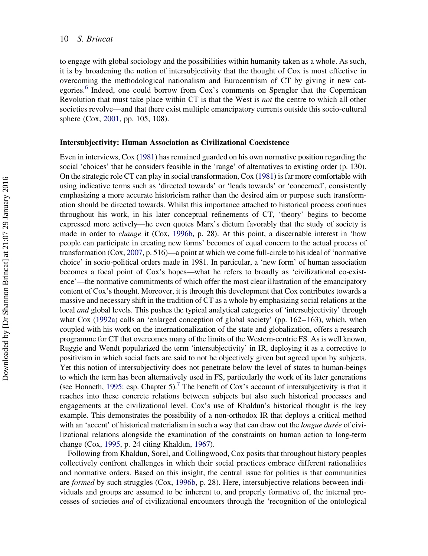<span id="page-10-0"></span>to engage with global sociology and the possibilities within humanity taken as a whole. As such, it is by broadening the notion of intersubjectivity that the thought of Cox is most effective in overcoming the methodological nationalism and Eurocentrism of CT by giving it new cat-egories.<sup>[6](#page-14-0)</sup> Indeed, one could borrow from Cox's comments on Spengler that the Copernican Revolution that must take place within CT is that the West is not the centre to which all other societies revolve—and that there exist multiple emancipatory currents outside this socio-cultural sphere (Cox, [2001,](#page-14-0) pp. 105, 108).

#### Intersubjectivity: Human Association as Civilizational Coexistence

Even in interviews, Cox [\(1981\)](#page-14-0) has remained guarded on his own normative position regarding the social 'choices' that he considers feasible in the 'range' of alternatives to existing order (p. 130). On the strategic role CT can play in social transformation, Cox [\(1981\)](#page-14-0) is far more comfortable with using indicative terms such as 'directed towards' or 'leads towards' or 'concerned', consistently emphasizing a more accurate historicism rather than the desired aim or purpose such transformation should be directed towards. Whilst this importance attached to historical process continues throughout his work, in his later conceptual refinements of CT, 'theory' begins to become expressed more actively—he even quotes Marx's dictum favorably that the study of society is made in order to change it (Cox, [1996b,](#page-14-0) p. 28). At this point, a discernable interest in 'how people can participate in creating new forms' becomes of equal concern to the actual process of transformation (Cox, [2007](#page-14-0), p. 516)—a point at which we come full-circle to his ideal of 'normative choice' in socio-political orders made in 1981. In particular, a 'new form' of human association becomes a focal point of Cox's hopes—what he refers to broadly as 'civilizational co-existence'—the normative commitments of which offer the most clear illustration of the emancipatory content of Cox's thought. Moreover, it is through this development that Cox contributes towards a massive and necessary shift in the tradition of CT as a whole by emphasizing social relations at the local *and* global levels. This pushes the typical analytical categories of 'intersubjectivity' through what Cox [\(1992a](#page-14-0)) calls an 'enlarged conception of global society' (pp. 162–163), which, when coupled with his work on the internationalization of the state and globalization, offers a research programme for CT that overcomes many of the limits of the Western-centric FS. As is well known, Ruggie and Wendt popularized the term 'intersubjectivity' in IR, deploying it as a corrective to positivism in which social facts are said to not be objectively given but agreed upon by subjects. Yet this notion of intersubjectivity does not penetrate below the level of states to human-beings to which the term has been alternatively used in FS, particularly the work of its later generations (see Honneth, [1995:](#page-15-0) esp. Chapter 5).<sup>[7](#page-14-0)</sup> The benefit of Cox's account of intersubjectivity is that it reaches into these concrete relations between subjects but also such historical processes and engagements at the civilizational level. Cox's use of Khaldun's historical thought is the key example. This demonstrates the possibility of a non-orthodox IR that deploys a critical method with an 'accent' of historical materialism in such a way that can draw out the *longue durée* of civilizational relations alongside the examination of the constraints on human action to long-term change (Cox, [1995](#page-14-0), p. 24 citing Khaldun, [1967](#page-15-0)).

Following from Khaldun, Sorel, and Collingwood, Cox posits that throughout history peoples collectively confront challenges in which their social practices embrace different rationalities and normative orders. Based on this insight, the central issue for politics is that communities are formed by such struggles (Cox, [1996b,](#page-14-0) p. 28). Here, intersubjective relations between individuals and groups are assumed to be inherent to, and properly formative of, the internal processes of societies and of civilizational encounters through the 'recognition of the ontological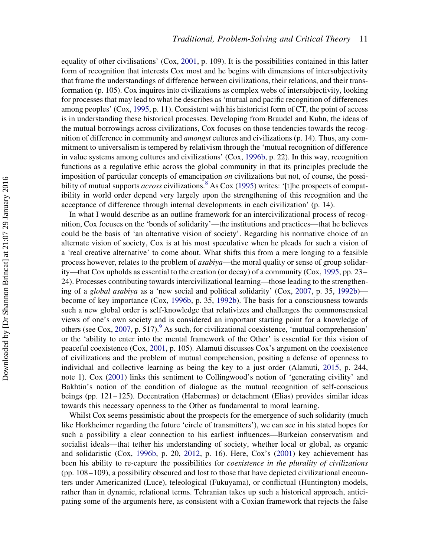<span id="page-11-0"></span>equality of other civilisations' (Cox, [2001,](#page-14-0) p. 109). It is the possibilities contained in this latter form of recognition that interests Cox most and he begins with dimensions of intersubjectivity that frame the understandings of difference between civilizations, their relations, and their transformation (p. 105). Cox inquires into civilizations as complex webs of intersubjectivity, looking for processes that may lead to what he describes as 'mutual and pacific recognition of differences among peoples' (Cox, [1995,](#page-14-0) p. 11). Consistent with his historicist form of CT, the point of access is in understanding these historical processes. Developing from Braudel and Kuhn, the ideas of the mutual borrowings across civilizations, Cox focuses on those tendencies towards the recognition of difference in community and amongst cultures and civilizations (p. 14). Thus, any commitment to universalism is tempered by relativism through the 'mutual recognition of difference in value systems among cultures and civilizations' (Cox, [1996b](#page-14-0), p. 22). In this way, recognition functions as a regulative ethic across the global community in that its principles preclude the imposition of particular concepts of emancipation on civilizations but not, of course, the possibility of mutual supports *across* civilizations.<sup>[8](#page-14-0)</sup> As Cox [\(1995](#page-14-0)) writes: '[t]he prospects of compatibility in world order depend very largely upon the strengthening of this recognition and the acceptance of difference through internal developments in each civilization' (p. 14).

In what I would describe as an outline framework for an intercivilizational process of recognition, Cox focuses on the 'bonds of solidarity'—the institutions and practices—that he believes could be the basis of 'an alternative vision of society'. Regarding his normative choice of an alternate vision of society, Cox is at his most speculative when he pleads for such a vision of a 'real creative alternative' to come about. What shifts this from a mere longing to a feasible process however, relates to the problem of *asabiya*—the moral quality or sense of group solidarity—that Cox upholds as essential to the creation (or decay) of a community (Cox, [1995,](#page-14-0) pp. 23– 24). Processes contributing towards intercivilizational learning—those leading to the strengthening of a global asabiya as a 'new social and political solidarity' (Cox, [2007](#page-14-0), p. 35, [1992b\)](#page-14-0) become of key importance (Cox, [1996b](#page-14-0), p. 35, [1992b](#page-14-0)). The basis for a consciousness towards such a new global order is self-knowledge that relativizes and challenges the commonsensical views of one's own society and is considered an important starting point for a knowledge of others (see Cox, [2007,](#page-14-0) p. 517). $9$  As such, for civilizational coexistence, 'mutual comprehension' or the 'ability to enter into the mental framework of the Other' is essential for this vision of peaceful coexistence (Cox, [2001](#page-14-0), p. 105). Alamuti discusses Cox's argument on the coexistence of civilizations and the problem of mutual comprehension, positing a defense of openness to individual and collective learning as being the key to a just order (Alamuti, [2015,](#page-14-0) p. 244, note 1). Cox ([2001\)](#page-14-0) links this sentiment to Collingwood's notion of 'generating civility' and Bakhtin's notion of the condition of dialogue as the mutual recognition of self-conscious beings (pp. 121–125). Decentration (Habermas) or detachment (Elias) provides similar ideas towards this necessary openness to the Other as fundamental to moral learning.

Whilst Cox seems pessimistic about the prospects for the emergence of such solidarity (much like Horkheimer regarding the future 'circle of transmitters'), we can see in his stated hopes for such a possibility a clear connection to his earliest influences—Burkeian conservatism and socialist ideals—that tether his understanding of society, whether local or global, as organic and solidaristic (Cox, [1996b](#page-14-0), p. 20, [2012](#page-14-0), p. 16). Here, Cox's [\(2001](#page-14-0)) key achievement has been his ability to re-capture the possibilities for *coexistence in the plurality of civilizations* (pp. 108–109), a possibility obscured and lost to those that have depicted civilizational encounters under Americanized (Luce), teleological (Fukuyama), or conflictual (Huntington) models, rather than in dynamic, relational terms. Tehranian takes up such a historical approach, anticipating some of the arguments here, as consistent with a Coxian framework that rejects the false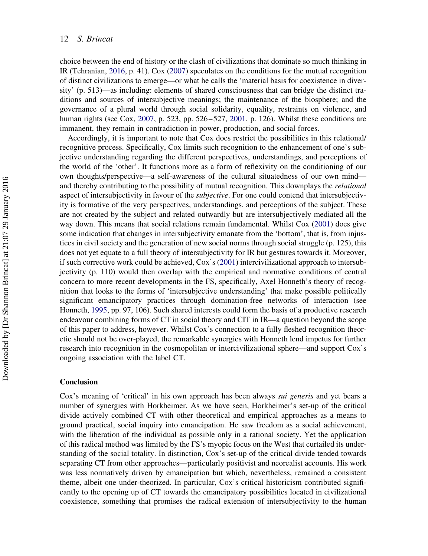<span id="page-12-0"></span>choice between the end of history or the clash of civilizations that dominate so much thinking in IR (Tehranian, [2016,](#page-15-0) p. 41). Cox [\(2007](#page-14-0)) speculates on the conditions for the mutual recognition of distinct civilizations to emerge—or what he calls the 'material basis for coexistence in diversity' (p. 513)—as including: elements of shared consciousness that can bridge the distinct traditions and sources of intersubjective meanings; the maintenance of the biosphere; and the governance of a plural world through social solidarity, equality, restraints on violence, and human rights (see Cox, [2007,](#page-14-0) p. 523, pp. 526–527, [2001,](#page-14-0) p. 126). Whilst these conditions are immanent, they remain in contradiction in power, production, and social forces.

Accordingly, it is important to note that Cox does restrict the possibilities in this relational/ recognitive process. Specifically, Cox limits such recognition to the enhancement of one's subjective understanding regarding the different perspectives, understandings, and perceptions of the world of the 'other'. It functions more as a form of reflexivity on the conditioning of our own thoughts/perspective—a self-awareness of the cultural situatedness of our own mind and thereby contributing to the possibility of mutual recognition. This downplays the relational aspect of intersubjectivity in favour of the *subjective*. For one could contend that intersubjectivity is formative of the very perspectives, understandings, and perceptions of the subject. These are not created by the subject and related outwardly but are intersubjectively mediated all the way down. This means that social relations remain fundamental. Whilst Cox ([2001\)](#page-14-0) does give some indication that changes in intersubjectivity emanate from the 'bottom', that is, from injustices in civil society and the generation of new social norms through social struggle (p. 125), this does not yet equate to a full theory of intersubjectivity for IR but gestures towards it. Moreover, if such corrective work could be achieved, Cox's [\(2001](#page-14-0)) intercivilizational approach to intersubjectivity (p. 110) would then overlap with the empirical and normative conditions of central concern to more recent developments in the FS, specifically, Axel Honneth's theory of recognition that looks to the forms of 'intersubjective understanding' that make possible politically significant emancipatory practices through domination-free networks of interaction (see Honneth, [1995](#page-15-0), pp. 97, 106). Such shared interests could form the basis of a productive research endeavour combining forms of CT in social theory and CIT in IR—a question beyond the scope of this paper to address, however. Whilst Cox's connection to a fully fleshed recognition theoretic should not be over-played, the remarkable synergies with Honneth lend impetus for further research into recognition in the cosmopolitan or intercivilizational sphere—and support Cox's ongoing association with the label CT.

# Conclusion

Cox's meaning of 'critical' in his own approach has been always *sui generis* and yet bears a number of synergies with Horkheimer. As we have seen, Horkheimer's set-up of the critical divide actively combined CT with other theoretical and empirical approaches as a means to ground practical, social inquiry into emancipation. He saw freedom as a social achievement, with the liberation of the individual as possible only in a rational society. Yet the application of this radical method was limited by the FS's myopic focus on the West that curtailed its understanding of the social totality. In distinction, Cox's set-up of the critical divide tended towards separating CT from other approaches—particularly positivist and neorealist accounts. His work was less normatively driven by emancipation but which, nevertheless, remained a consistent theme, albeit one under-theorized. In particular, Cox's critical historicism contributed significantly to the opening up of CT towards the emancipatory possibilities located in civilizational coexistence, something that promises the radical extension of intersubjectivity to the human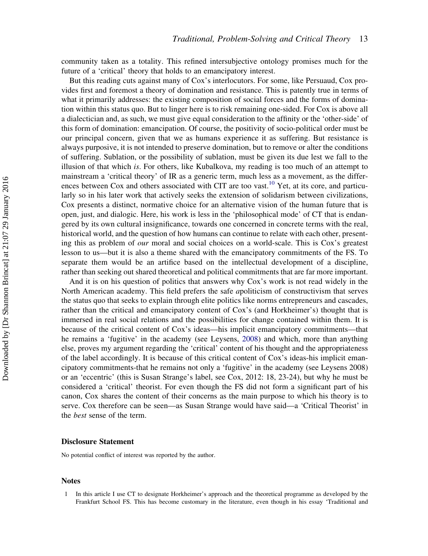<span id="page-13-0"></span>community taken as a totality. This refined intersubjective ontology promises much for the future of a 'critical' theory that holds to an emancipatory interest.

But this reading cuts against many of Cox's interlocutors. For some, like Persuaud, Cox provides first and foremost a theory of domination and resistance. This is patently true in terms of what it primarily addresses: the existing composition of social forces and the forms of domination within this status quo. But to linger here is to risk remaining one-sided. For Cox is above all a dialectician and, as such, we must give equal consideration to the affinity or the 'other-side' of this form of domination: emancipation. Of course, the positivity of socio-political order must be our principal concern, given that we as humans experience it as suffering. But resistance is always purposive, it is not intended to preserve domination, but to remove or alter the conditions of suffering. Sublation, or the possibility of sublation, must be given its due lest we fall to the illusion of that which is. For others, like Kubalkova, my reading is too much of an attempt to mainstream a 'critical theory' of IR as a generic term, much less as a movement, as the differ-ences between Cox and others associated with CIT are too vast.<sup>[10](#page-14-0)</sup> Yet, at its core, and particularly so in his later work that actively seeks the extension of solidarism between civilizations, Cox presents a distinct, normative choice for an alternative vision of the human future that is open, just, and dialogic. Here, his work is less in the 'philosophical mode' of CT that is endangered by its own cultural insignificance, towards one concerned in concrete terms with the real, historical world, and the question of how humans can continue to relate with each other, presenting this as problem of *our* moral and social choices on a world-scale. This is Cox's greatest lesson to us—but it is also a theme shared with the emancipatory commitments of the FS. To separate them would be an artifice based on the intellectual development of a discipline, rather than seeking out shared theoretical and political commitments that are far more important.

And it is on his question of politics that answers why Cox's work is not read widely in the North American academy. This field prefers the safe apoliticism of constructivism that serves the status quo that seeks to explain through elite politics like norms entrepreneurs and cascades, rather than the critical and emancipatory content of Cox's (and Horkheimer's) thought that is immersed in real social relations and the possibilities for change contained within them. It is because of the critical content of Cox's ideas—his implicit emancipatory commitments—that he remains a 'fugitive' in the academy (see Leysens, [2008](#page-15-0)) and which, more than anything else, proves my argument regarding the 'critical' content of his thought and the appropriateness of the label accordingly. It is because of this critical content of Cox's ideas-his implicit emancipatory commitments-that he remains not only a 'fugitive' in the academy (see Leysens 2008) or an 'eccentric' (this is Susan Strange's label, see Cox, 2012: 18, 23-24), but why he must be considered a 'critical' theorist. For even though the FS did not form a significant part of his canon, Cox shares the content of their concerns as the main purpose to which his theory is to serve. Cox therefore can be seen—as Susan Strange would have said—a 'Critical Theorist' in the best sense of the term.

#### Disclosure Statement

No potential conflict of interest was reported by the author.

#### Notes

1 In this article I use CT to designate Horkheimer's approach and the theoretical programme as developed by the Frankfurt School FS. This has become customary in the literature, even though in his essay 'Traditional and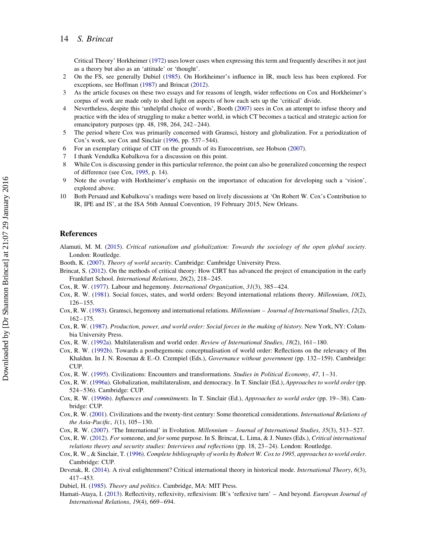<span id="page-14-0"></span>Critical Theory' Horkheimer [\(1972](#page-15-0)) uses lower cases when expressing this term and frequently describes it not just as a theory but also as an 'attitude' or 'thought'.

- 2 On the FS, see generally Dubiel (1985). On Horkheimer's influence in IR, much less has been explored. For exceptions, see Hoffman ([1987\)](#page-15-0) and Brincat (2012).
- As the article focuses on these two essays and for reasons of length, wider reflections on Cox and Horkheimer's corpus of work are made only to shed light on aspects of how each sets up the 'critical' divide.
- Nevertheless, despite this 'unhelpful choice of words', Booth (2007) sees in Cox an attempt to infuse theory and practice with the idea of struggling to make a better world, in which CT becomes a tactical and strategic action for emancipatory purposes (pp. 48, 198, 264, 242–244).
- 5 The period where Cox was primarily concerned with Gramsci, history and globalization. For a periodization of Cox's work, see Cox and Sinclair (1996, pp. 537–544).
- 6 For an exemplary critique of CIT on the grounds of its Eurocentrism, see Hobson [\(2007](#page-15-0)).
- 7 I thank Vendulka Kubalkova for a discussion on this point.
- While Cox is discussing gender in this particular reference, the point can also be generalized concerning the respect of difference (see Cox, 1995, p. 14).
- 9 Note the overlap with Horkheimer's emphasis on the importance of education for developing such a 'vision', explored above.
- 10 Both Persaud and Kubalkova's readings were based on lively discussions at 'On Robert W. Cox's Contribution to IR, IPE and IS', at the ISA 56th Annual Convention, 19 February 2015, New Orleans.

#### References

Alamuti, M. M. [\(2015](#page-11-0)). Critical rationalism and globalization: Towards the sociology of the open global society. London: Routledge.

Booth, K. ([2007\)](#page-4-0). Theory of world security. Cambridge: Cambridge University Press.

- Brincat, S. (2012). On the methods of critical theory: How CIRT has advanced the project of emancipation in the early Frankfurt School. International Relations, 26(2), 218–245.
- Cox, R. W. ([1977\)](#page-6-0). Labour and hegemony. International Organization, 31(3), 385–424.
- Cox, R. W. ([1981\)](#page-1-0). Social forces, states, and world orders: Beyond international relations theory. *Millennium*, 10(2), 126–155.
- Cox, R. W. ([1983\)](#page-6-0). Gramsci, hegemony and international relations. Millennium Journal of International Studies, 12(2), 162–175.
- Cox, R. W. [\(1987](#page-4-0)). Production, power, and world order: Social forces in the making of history. New York, NY: Columbia University Press.
- Cox, R. W. ([1992a](#page-10-0)). Multilateralism and world order. Review of International Studies, 18(2), 161–180.
- Cox, R. W. ([1992b](#page-11-0)). Towards a posthegemonic conceptualisation of world order: Reflections on the relevancy of Ibn Khaldun. In J. N. Rosenau & E.-O. Czempiel (Eds.), Governance without government (pp. 132-159). Cambridge: CUP.
- Cox, R. W. ([1995\)](#page-3-0). Civilizations: Encounters and transformations. Studies in Political Economy, 47, 1–31.
- Cox, R. W. [\(1996a\)](#page-6-0). Globalization, multilateralism, and democracy. In T. Sinclair (Ed.), Approaches to world order (pp. 524–536). Cambridge: CUP.
- Cox, R. W. [\(1996b](#page-6-0)). Influences and commitments. In T. Sinclair (Ed.), Approaches to world order (pp. 19–38). Cambridge: CUP.
- Cox, R. W. ([2001\)](#page-10-0). Civilizations and the twenty-first century: Some theoretical considerations. International Relations of the Asia-Pacific,  $1(1)$ ,  $105-130$ .
- Cox, R. W. ([2007\)](#page-6-0). 'The International' in Evolution. Millennium Journal of International Studies, 35(3), 513–527.
- Cox, R. W. [\(2012](#page-2-0)). For someone, and for some purpose. In S. Brincat, L. Lima, & J. Nunes (Eds.), Critical international relations theory and security studies: Interviews and reflections (pp. 18, 23–24). London: Routledge.
- Cox, R. W., & Sinclair, T. (1996). Complete bibliography of works by Robert W. Cox to 1995, approaches to world order. Cambridge: CUP.
- Devetak, R. [\(2014](#page-6-0)). A rival enlightenment? Critical international theory in historical mode. International Theory, 6(3), 417–453.
- Dubiel, H. (1985). Theory and politics. Cambridge, MA: MIT Press.
- Hamati-Ataya, I. ([2013\)](#page-6-0). Reflectivity, reflexivity, reflexivism: IR's 'reflexive turn' And beyond. European Journal of International Relations, 19(4), 669–694.